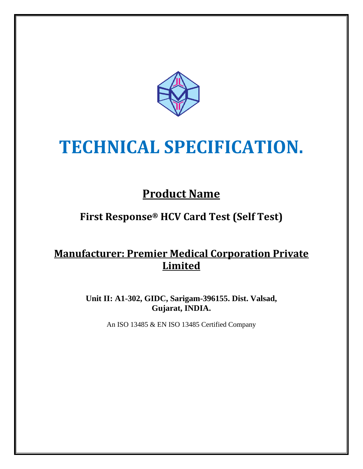

# **TECHNICAL SPECIFICATION.**

# **Product Name**

## **First Response® HCV Card Test (Self Test)**

### **Manufacturer: Premier Medical Corporation Private Limited**

**Unit II: A1-302, GIDC, Sarigam-396155. Dist. Valsad, Gujarat, INDIA.**

An ISO 13485 & EN ISO 13485 Certified Company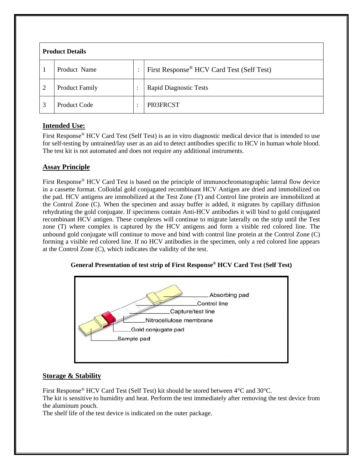| <b>Product Details</b> |                       |           |                                                       |
|------------------------|-----------------------|-----------|-------------------------------------------------------|
|                        | Product Name          | ٠         | First Response <sup>®</sup> HCV Card Test (Self Test) |
| $\overline{2}$         | <b>Product Family</b> | $\bullet$ | <b>Rapid Diagnostic Tests</b>                         |
| 3                      | Product Code          | ٠         | PI03FRCST                                             |

#### **Intended Use:**

First Response<sup>®</sup> HCV Card Test (Self Test) is an in vitro diagnostic medical device that is intended to use for self-testing by untrained/lay user as an aid to detect antibodies specific to HCV in human whole blood. The test kit is not automated and does not require any additional instruments.

#### **Assay Principle**

First Response® HCV Card Test is based on the principle of immunochromatographic lateral flow device in a cassette format. Colloidal gold conjugated recombinant HCV Antigen are dried and immobilized on the pad. HCV antigens are immobilized at the Test Zone (T) and Control line protein are immobilized at the Control Zone (C). When the specimen and assay buffer is added, it migrates by capillary diffusion rehydrating the gold conjugate. If specimens contain Anti-HCV antibodies it will bind to gold conjugated recombinant HCV antigen. These complexes will continue to migrate laterally on the strip until the Test zone (T) where complex is captured by the HCV antigens and form a visible red colored line. The unbound gold conjugate will continue to move and bind with control line protein at the Control Zone (C) forming a visible red colored line. If no HCV antibodies in the specimen, only a red colored line appears at the Control Zone (C), which indicates the validity of the test.





#### **Storage & Stability**

First Response® HCV Card Test (Self Test) kit should be stored between 4°C and 30°C. The kit is sensitive to humidity and heat. Perform the test immediately after removing the test device from the aluminum pouch.

The shelf life of the test device is indicated on the outer package.